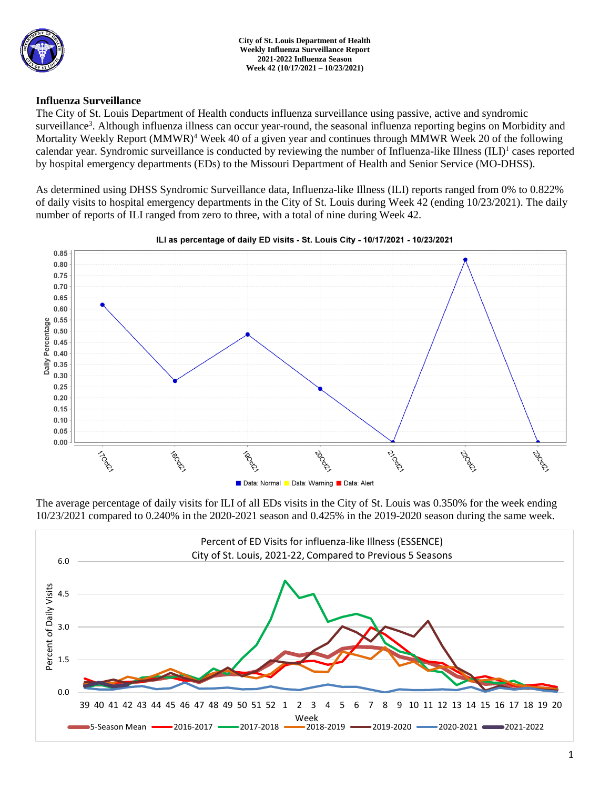

**City of St. Louis Department of Health Weekly Influenza Surveillance Report 2021-2022 Influenza Season Week 42 (10/17/2021 – 10/23/2021)**

## **Influenza Surveillance**

The City of St. Louis Department of Health conducts influenza surveillance using passive, active and syndromic surveillance<sup>3</sup>. Although influenza illness can occur year-round, the seasonal influenza reporting begins on Morbidity and Mortality Weekly Report (MMWR)<sup>4</sup> Week 40 of a given year and continues through MMWR Week 20 of the following calendar year. Syndromic surveillance is conducted by reviewing the number of Influenza-like Illness (ILI)<sup>1</sup> cases reported by hospital emergency departments (EDs) to the Missouri Department of Health and Senior Service (MO-DHSS).

As determined using DHSS Syndromic Surveillance data, Influenza-like Illness (ILI) reports ranged from 0% to 0.822% of daily visits to hospital emergency departments in the City of St. Louis during Week 42 (ending 10/23/2021). The daily number of reports of ILI ranged from zero to three, with a total of nine during Week 42.



#### ILI as percentage of daily ED visits - St. Louis City - 10/17/2021 - 10/23/2021

The average percentage of daily visits for ILI of all EDs visits in the City of St. Louis was 0.350% for the week ending 10/23/2021 compared to 0.240% in the 2020-2021 season and 0.425% in the 2019-2020 season during the same week.

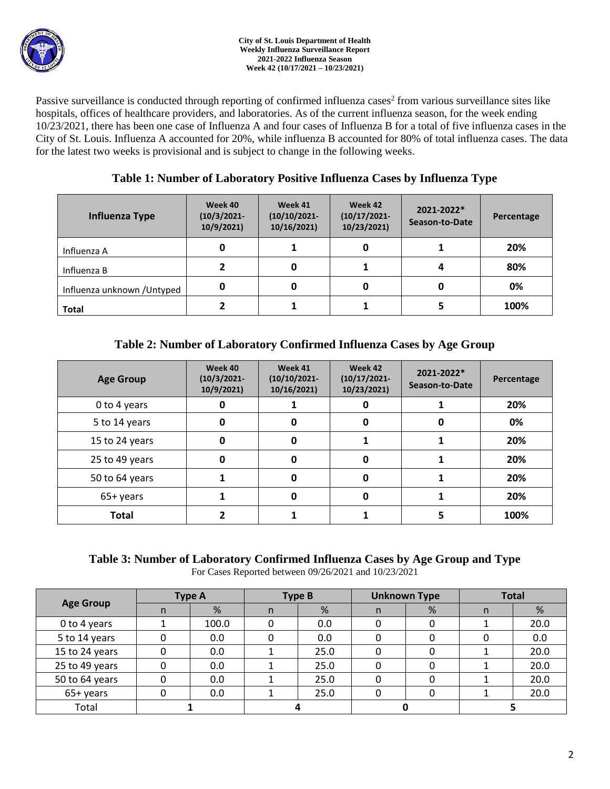

Passive surveillance is conducted through reporting of confirmed influenza cases<sup>2</sup> from various surveillance sites like hospitals, offices of healthcare providers, and laboratories. As of the current influenza season, for the week ending 10/23/2021, there has been one case of Influenza A and four cases of Influenza B for a total of five influenza cases in the City of St. Louis. Influenza A accounted for 20%, while influenza B accounted for 80% of total influenza cases. The data for the latest two weeks is provisional and is subject to change in the following weeks.

# **Table 1: Number of Laboratory Positive Influenza Cases by Influenza Type**

| <b>Influenza Type</b>       | Week 40<br>$(10/3/2021 -$<br>10/9/2021) | Week 41<br>$(10/10/2021 -$<br>10/16/2021) | Week 42<br>$(10/17/2021 -$<br>10/23/2021) | 2021-2022*<br>Season-to-Date | Percentage |
|-----------------------------|-----------------------------------------|-------------------------------------------|-------------------------------------------|------------------------------|------------|
| Influenza A                 | 0                                       |                                           | 0                                         |                              | 20%        |
| Influenza B                 |                                         |                                           |                                           |                              | 80%        |
| Influenza unknown / Untyped | 0                                       |                                           | 0                                         | 0                            | 0%         |
| <b>Total</b>                |                                         |                                           |                                           | 5                            | 100%       |

# **Table 2: Number of Laboratory Confirmed Influenza Cases by Age Group**

| <b>Age Group</b> | Week 40<br>$(10/3/2021 -$<br>10/9/2021 | Week 41<br>$(10/10/2021 -$<br>10/16/2021) | Week 42<br>$(10/17/2021 -$<br>10/23/2021) | 2021-2022*<br>Season-to-Date | Percentage |
|------------------|----------------------------------------|-------------------------------------------|-------------------------------------------|------------------------------|------------|
| 0 to 4 years     |                                        |                                           | 0                                         |                              | 20%        |
| 5 to 14 years    | 0                                      | 0                                         | 0                                         | U                            | 0%         |
| 15 to 24 years   | $\mathbf 0$                            | 0                                         |                                           |                              | 20%        |
| 25 to 49 years   | $\Omega$                               | <sup>0</sup>                              | 0                                         |                              | 20%        |
| 50 to 64 years   |                                        | <sup>0</sup>                              | $\mathbf 0$                               |                              | 20%        |
| 65+ years        |                                        | O                                         | 0                                         |                              | 20%        |
| <b>Total</b>     |                                        |                                           |                                           |                              | 100%       |

### **Table 3: Number of Laboratory Confirmed Influenza Cases by Age Group and Type** For Cases Reported between 09/26/2021 and 10/23/2021

| <b>Age Group</b> | <b>Type A</b> |       | <b>Type B</b> |      | <b>Unknown Type</b> |   | <b>Total</b> |      |
|------------------|---------------|-------|---------------|------|---------------------|---|--------------|------|
|                  | n.            | %     | n             | %    | n.                  | % | n            | %    |
| 0 to 4 years     |               | 100.0 |               | 0.0  | 0                   | 0 |              | 20.0 |
| 5 to 14 years    |               | 0.0   |               | 0.0  | 0                   | 0 |              | 0.0  |
| 15 to 24 years   |               | 0.0   |               | 25.0 | Ω                   | o |              | 20.0 |
| 25 to 49 years   |               | 0.0   |               | 25.0 |                     |   |              | 20.0 |
| 50 to 64 years   |               | 0.0   |               | 25.0 |                     |   |              | 20.0 |
| 65+ years        |               | 0.0   |               | 25.0 |                     |   |              | 20.0 |
| Total            |               |       |               |      |                     |   |              |      |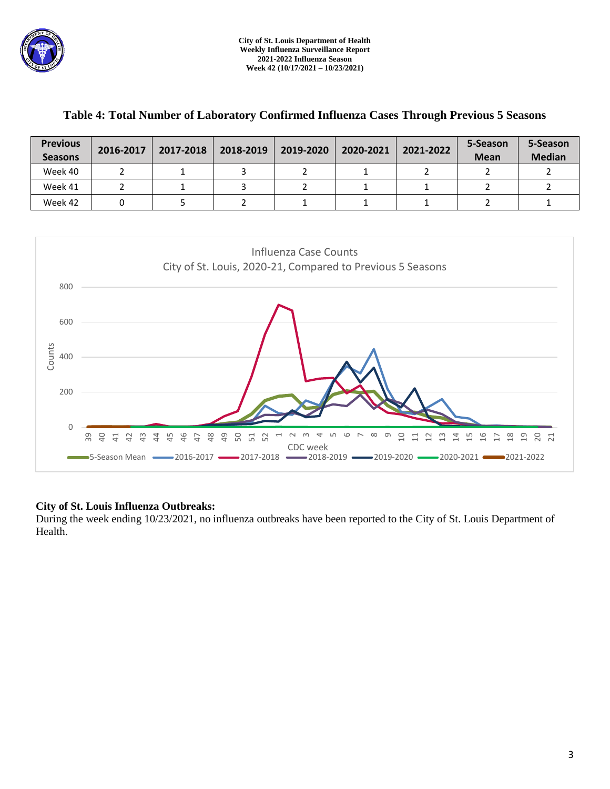

| <b>Previous</b><br><b>Seasons</b> | 2016-2017 | 2017-2018 | 2018-2019 | 2019-2020 | 2020-2021 | 2021-2022 | 5-Season<br><b>Mean</b> | 5-Season<br><b>Median</b> |
|-----------------------------------|-----------|-----------|-----------|-----------|-----------|-----------|-------------------------|---------------------------|
| Week 40                           |           |           |           |           |           |           |                         |                           |
| Week 41                           |           |           |           |           |           |           |                         |                           |
| Week 42                           |           |           |           |           |           |           |                         |                           |

# **Table 4: Total Number of Laboratory Confirmed Influenza Cases Through Previous 5 Seasons**



## **City of St. Louis Influenza Outbreaks:**

During the week ending 10/23/2021, no influenza outbreaks have been reported to the City of St. Louis Department of Health.